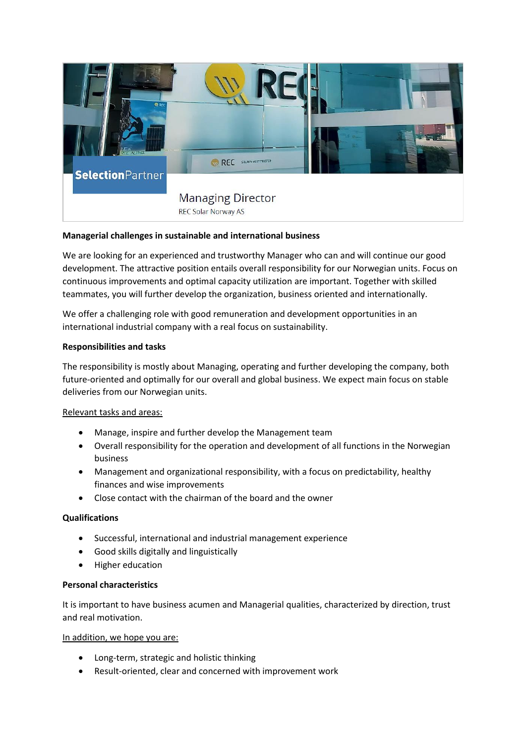

# **Managerial challenges in sustainable and international business**

We are looking for an experienced and trustworthy Manager who can and will continue our good development. The attractive position entails overall responsibility for our Norwegian units. Focus on continuous improvements and optimal capacity utilization are important. Together with skilled teammates, you will further develop the organization, business oriented and internationally.

We offer a challenging role with good remuneration and development opportunities in an international industrial company with a real focus on sustainability.

## **Responsibilities and tasks**

The responsibility is mostly about Managing, operating and further developing the company, both future-oriented and optimally for our overall and global business. We expect main focus on stable deliveries from our Norwegian units.

## Relevant tasks and areas:

- Manage, inspire and further develop the Management team
- Overall responsibility for the operation and development of all functions in the Norwegian business
- Management and organizational responsibility, with a focus on predictability, healthy finances and wise improvements
- Close contact with the chairman of the board and the owner

## **Qualifications**

- Successful, international and industrial management experience
- Good skills digitally and linguistically
- Higher education

#### **Personal characteristics**

It is important to have business acumen and Managerial qualities, characterized by direction, trust and real motivation.

#### In addition, we hope you are:

- Long-term, strategic and holistic thinking
- Result-oriented, clear and concerned with improvement work